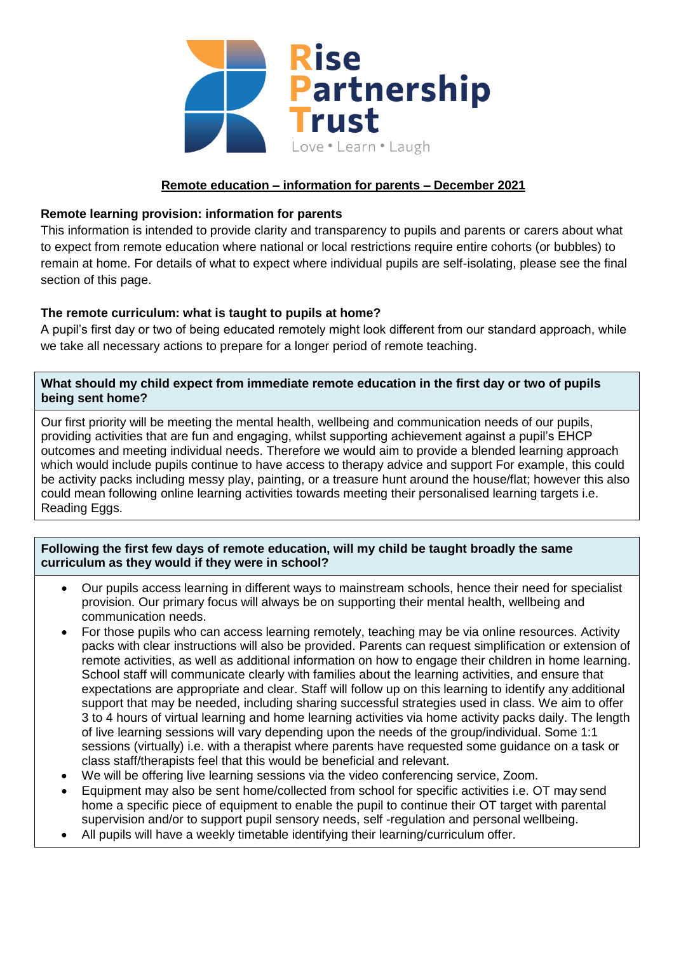

# **Remote education – information for parents – December 2021**

# **Remote learning provision: information for parents**

This information is intended to provide clarity and transparency to pupils and parents or carers about what to expect from remote education where national or local restrictions require entire cohorts (or bubbles) to remain at home. For details of what to expect where individual pupils are self-isolating, please see the final section of this page.

# **The remote curriculum: what is taught to pupils at home?**

A pupil's first day or two of being educated remotely might look different from our standard approach, while we take all necessary actions to prepare for a longer period of remote teaching.

### **What should my child expect from immediate remote education in the first day or two of pupils being sent home?**

Our first priority will be meeting the mental health, wellbeing and communication needs of our pupils, providing activities that are fun and engaging, whilst supporting achievement against a pupil's EHCP outcomes and meeting individual needs. Therefore we would aim to provide a blended learning approach which would include pupils continue to have access to therapy advice and support For example, this could be activity packs including messy play, painting, or a treasure hunt around the house/flat; however this also could mean following online learning activities towards meeting their personalised learning targets i.e. Reading Eggs.

### **Following the first few days of remote education, will my child be taught broadly the same curriculum as they would if they were in school?**

- Our pupils access learning in different ways to mainstream schools, hence their need for specialist provision. Our primary focus will always be on supporting their mental health, wellbeing and communication needs.
- For those pupils who can access learning remotely, teaching may be via online resources. Activity packs with clear instructions will also be provided. Parents can request simplification or extension of remote activities, as well as additional information on how to engage their children in home learning. School staff will communicate clearly with families about the learning activities, and ensure that expectations are appropriate and clear. Staff will follow up on this learning to identify any additional support that may be needed, including sharing successful strategies used in class. We aim to offer 3 to 4 hours of virtual learning and home learning activities via home activity packs daily. The length of live learning sessions will vary depending upon the needs of the group/individual. Some 1:1 sessions (virtually) i.e. with a therapist where parents have requested some guidance on a task or class staff/therapists feel that this would be beneficial and relevant.
- We will be offering live learning sessions via the video conferencing service, Zoom.
- Equipment may also be sent home/collected from school for specific activities i.e. OT may send home a specific piece of equipment to enable the pupil to continue their OT target with parental supervision and/or to support pupil sensory needs, self -regulation and personal wellbeing.
- All pupils will have a weekly timetable identifying their learning/curriculum offer.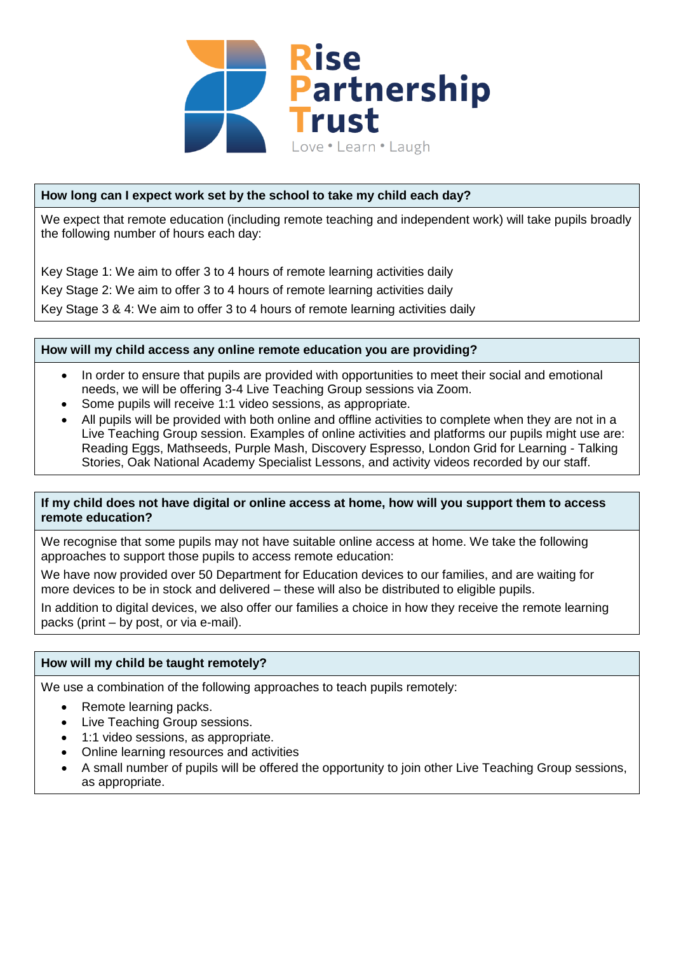

# **How long can I expect work set by the school to take my child each day?**

We expect that remote education (including remote teaching and independent work) will take pupils broadly the following number of hours each day:

Key Stage 1: We aim to offer 3 to 4 hours of remote learning activities daily Key Stage 2: We aim to offer 3 to 4 hours of remote learning activities daily Key Stage 3 & 4: We aim to offer 3 to 4 hours of remote learning activities daily

### **How will my child access any online remote education you are providing?**

- In order to ensure that pupils are provided with opportunities to meet their social and emotional needs, we will be offering 3-4 Live Teaching Group sessions via Zoom.
- Some pupils will receive 1:1 video sessions, as appropriate.
- All pupils will be provided with both online and offline activities to complete when they are not in a Live Teaching Group session. Examples of online activities and platforms our pupils might use are: Reading Eggs, Mathseeds, Purple Mash, Discovery Espresso, London Grid for Learning - Talking Stories, Oak National Academy Specialist Lessons, and activity videos recorded by our staff.

### **If my child does not have digital or online access at home, how will you support them to access remote education?**

We recognise that some pupils may not have suitable online access at home. We take the following approaches to support those pupils to access remote education:

We have now provided over 50 Department for Education devices to our families, and are waiting for more devices to be in stock and delivered – these will also be distributed to eligible pupils.

In addition to digital devices, we also offer our families a choice in how they receive the remote learning packs (print – by post, or via e-mail).

### **How will my child be taught remotely?**

We use a combination of the following approaches to teach pupils remotely:

- Remote learning packs.
- Live Teaching Group sessions.
- 1:1 video sessions, as appropriate.
- Online learning resources and activities
- A small number of pupils will be offered the opportunity to join other Live Teaching Group sessions, as appropriate.